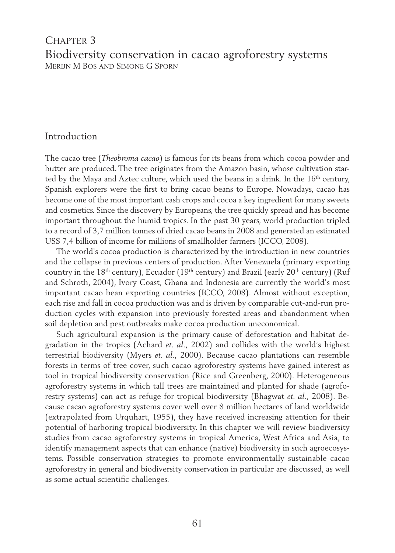# CHAPTER 3 Biodiversity conservation in cacao agroforestry systems Merijn M Bos and Simone G Sporn

# Introduction

The cacao tree (*Theobroma cacao*) is famous for its beans from which cocoa powder and butter are produced. The tree originates from the Amazon basin, whose cultivation started by the Maya and Aztec culture, which used the beans in a drink. In the  $16<sup>th</sup>$  century, Spanish explorers were the first to bring cacao beans to Europe. Nowadays, cacao has become one of the most important cash crops and cocoa a key ingredient for many sweets and cosmetics. Since the discovery by Europeans, the tree quickly spread and has become important throughout the humid tropics. In the past 30 years, world production tripled to a record of 3,7 million tonnes of dried cacao beans in 2008 and generated an estimated US\$ 7,4 billion of income for millions of smallholder farmers (ICCO, 2008).

The world's cocoa production is characterized by the introduction in new countries and the collapse in previous centers of production. After Venezuela (primary exporting country in the 18<sup>th</sup> century), Ecuador (19<sup>th</sup> century) and Brazil (early 20<sup>th</sup> century) (Ruf and Schroth, 2004), Ivory Coast, Ghana and Indonesia are currently the world's most important cacao bean exporting countries (ICCO, 2008). Almost without exception, each rise and fall in cocoa production was and is driven by comparable cut-and-run production cycles with expansion into previously forested areas and abandonment when soil depletion and pest outbreaks make cocoa production uneconomical.

Such agricultural expansion is the primary cause of deforestation and habitat degradation in the tropics (Achard *et. al.,* 2002) and collides with the world's highest terrestrial biodiversity (Myers *et. al.,* 2000). Because cacao plantations can resemble forests in terms of tree cover, such cacao agroforestry systems have gained interest as tool in tropical biodiversity conservation (Rice and Greenberg, 2000). Heterogeneous agroforestry systems in which tall trees are maintained and planted for shade (agroforestry systems) can act as refuge for tropical biodiversity (Bhagwat *et. al.,* 2008). Because cacao agroforestry systems cover well over 8 million hectares of land worldwide (extrapolated from Urquhart, 1955), they have received increasing attention for their potential of harboring tropical biodiversity. In this chapter we will review biodiversity studies from cacao agroforestry systems in tropical America, West Africa and Asia, to identify management aspects that can enhance (native) biodiversity in such agroecosystems. Possible conservation strategies to promote environmentally sustainable cacao agroforestry in general and biodiversity conservation in particular are discussed, as well as some actual scientific challenges.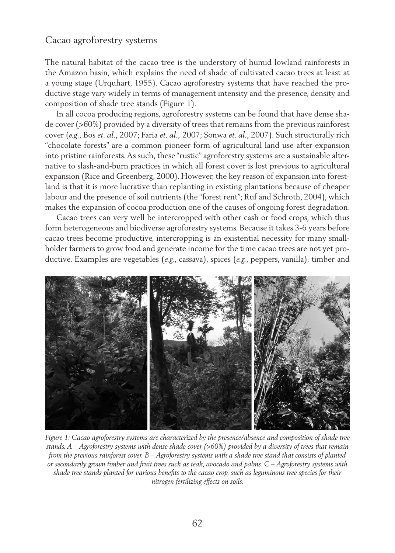# Cacao agroforestry systems

The natural habitat of the cacao tree is the understory of humid lowland rainforests in the Amazon basin, which explains the need of shade of cultivated cacao trees at least at a young stage (Urquhart, 1955). Cacao agroforestry systems that have reached the productive stage vary widely in terms of management intensity and the presence, density and composition of shade tree stands (Figure 1).

In all cocoa producing regions, agroforestry systems can be found that have dense shade cover (>60%) provided by a diversity of trees that remains from the previous rainforest cover (*e.g*., Bos *et. al.,* 2007; Faria *et. al.,* 2007; Sonwa *et. al.,* 2007). Such structurally rich "chocolate forests" are a common pioneer form of agricultural land use after expansion into pristine rainforests. As such, these "rustic" agroforestry systems are a sustainable alternative to slash-and-burn practices in which all forest cover is lost previous to agricultural expansion (Rice and Greenberg, 2000). However, the key reason of expansion into forestland is that it is more lucrative than replanting in existing plantations because of cheaper labour and the presence of soil nutrients (the "forest rent"; Ruf and Schroth, 2004), which makes the expansion of cocoa production one of the causes of ongoing forest degradation.

Cacao trees can very well be intercropped with other cash or food crops, which thus form heterogeneous and biodiverse agroforestry systems. Because it takes 3-6 years before cacao trees become productive, intercropping is an existential necessity for many smallholder farmers to grow food and generate income for the time cacao trees are not yet productive. Examples are vegetables (*e.g.*, cassava), spices (*e.g.*, peppers, vanilla), timber and



*Figure 1: Cacao agroforestry systems are characterized by the presence/absence and composition of shade tree stands. A – Agroforestry systems with dense shade cover (>60%) provided by a diversity of trees that remain from the previous rainforest cover. B – Agroforestry systems with a shade tree stand that consists of planted or secondarily grown timber and fruit trees such as teak, avocado and palms. C – Agroforestry systems with shade tree stands planted for various benefits to the cacao crop, such as leguminous tree species for their nitrogen fertilizing effects on soils.*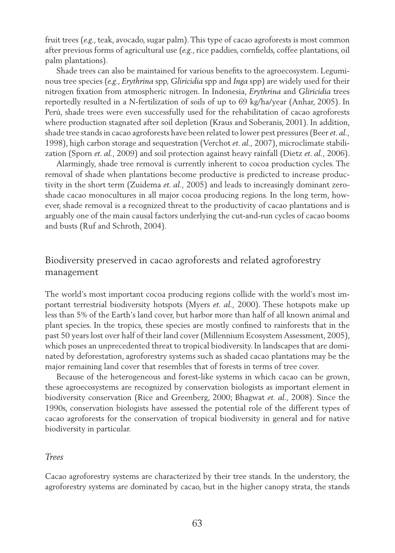fruit trees (*e.g*., teak, avocado, sugar palm). This type of cacao agroforests is most common after previous forms of agricultural use (*e.g*., rice paddies, cornfields, coffee plantations, oil palm plantations).

Shade trees can also be maintained for various benefits to the agroecosystem. Leguminous tree species (*e.g*., *Erythrina* spp, *Gliricidia* spp and *Inga* spp) are widely used for their nitrogen fixation from atmospheric nitrogen. In Indonesia, *Erythrina* and *Gliricidia* trees reportedly resulted in a N-fertilization of soils of up to 69 kg/ha/year (Anhar, 2005). In Perú, shade trees were even successfully used for the rehabilitation of cacao agroforests where production stagnated after soil depletion (Kraus and Soberanis, 2001). In addition, shade tree stands in cacao agroforests have been related to lower pest pressures (Beer *et. al.,* 1998), high carbon storage and sequestration (Verchot *et. al.,* 2007), microclimate stabilization (Sporn *et. al.,* 2009) and soil protection against heavy rainfall (Dietz *et. al.,* 2006).

Alarmingly, shade tree removal is currently inherent to cocoa production cycles. The removal of shade when plantations become productive is predicted to increase productivity in the short term (Zuidema *et. al.,* 2005) and leads to increasingly dominant zeroshade cacao monocultures in all major cocoa producing regions. In the long term, however, shade removal is a recognized threat to the productivity of cacao plantations and is arguably one of the main causal factors underlying the cut-and-run cycles of cacao booms and busts (Ruf and Schroth, 2004).

# Biodiversity preserved in cacao agroforests and related agroforestry management

The world's most important cocoa producing regions collide with the world's most important terrestrial biodiversity hotspots (Myers *et. al.,* 2000). These hotspots make up less than 5% of the Earth's land cover, but harbor more than half of all known animal and plant species. In the tropics, these species are mostly confined to rainforests that in the past 50 years lost over half of their land cover (Millennium Ecosystem Assessment, 2005), which poses an unprecedented threat to tropical biodiversity. In landscapes that are dominated by deforestation, agroforestry systems such as shaded cacao plantations may be the major remaining land cover that resembles that of forests in terms of tree cover.

Because of the heterogeneous and forest-like systems in which cacao can be grown, these agroecosystems are recognized by conservation biologists as important element in biodiversity conservation (Rice and Greenberg, 2000; Bhagwat *et. al.,* 2008). Since the 1990s, conservation biologists have assessed the potential role of the different types of cacao agroforests for the conservation of tropical biodiversity in general and for native biodiversity in particular.

#### *Trees*

Cacao agroforestry systems are characterized by their tree stands. In the understory, the agroforestry systems are dominated by cacao, but in the higher canopy strata, the stands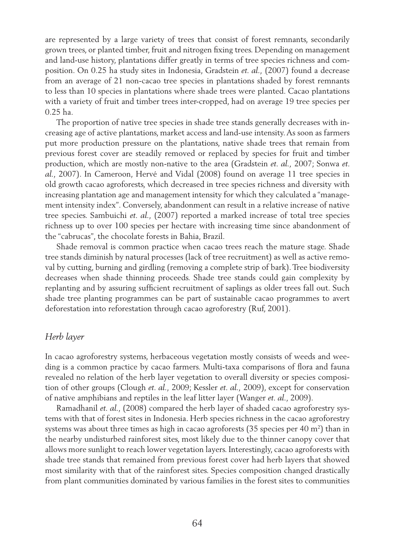are represented by a large variety of trees that consist of forest remnants, secondarily grown trees, or planted timber, fruit and nitrogen fixing trees. Depending on management and land-use history, plantations differ greatly in terms of tree species richness and composition. On 0.25 ha study sites in Indonesia, Gradstein *et. al.,* (2007) found a decrease from an average of 21 non-cacao tree species in plantations shaded by forest remnants to less than 10 species in plantations where shade trees were planted. Cacao plantations with a variety of fruit and timber trees inter-cropped, had on average 19 tree species per 0.25 ha.

The proportion of native tree species in shade tree stands generally decreases with increasing age of active plantations, market access and land-use intensity. As soon as farmers put more production pressure on the plantations, native shade trees that remain from previous forest cover are steadily removed or replaced by species for fruit and timber production, which are mostly non-native to the area (Gradstein *et. al.,* 2007; Sonwa *et. al.,* 2007). In Cameroon, Hervé and Vidal (2008) found on average 11 tree species in old growth cacao agroforests, which decreased in tree species richness and diversity with increasing plantation age and management intensity for which they calculated a "management intensity index". Conversely, abandonment can result in a relative increase of native tree species. Sambuichi *et. al.,* (2007) reported a marked increase of total tree species richness up to over 100 species per hectare with increasing time since abandonment of the "cabrucas", the chocolate forests in Bahia, Brazil.

Shade removal is common practice when cacao trees reach the mature stage. Shade tree stands diminish by natural processes (lack of tree recruitment) as well as active removal by cutting, burning and girdling (removing a complete strip of bark). Tree biodiversity decreases when shade thinning proceeds. Shade tree stands could gain complexity by replanting and by assuring sufficient recruitment of saplings as older trees fall out. Such shade tree planting programmes can be part of sustainable cacao programmes to avert deforestation into reforestation through cacao agroforestry (Ruf, 2001).

### *Herb layer*

In cacao agroforestry systems, herbaceous vegetation mostly consists of weeds and weeding is a common practice by cacao farmers. Multi-taxa comparisons of flora and fauna revealed no relation of the herb layer vegetation to overall diversity or species composition of other groups (Clough *et. al.,* 2009; Kessler *et. al.,* 2009), except for conservation of native amphibians and reptiles in the leaf litter layer (Wanger *et. al.,* 2009).

Ramadhanil *et. al.,* (2008) compared the herb layer of shaded cacao agroforestry systems with that of forest sites in Indonesia. Herb species richness in the cacao agroforestry systems was about three times as high in cacao agroforests (35 species per 40  $\mathrm{m}^2$ ) than in the nearby undisturbed rainforest sites, most likely due to the thinner canopy cover that allows more sunlight to reach lower vegetation layers. Interestingly, cacao agroforests with shade tree stands that remained from previous forest cover had herb layers that showed most similarity with that of the rainforest sites. Species composition changed drastically from plant communities dominated by various families in the forest sites to communities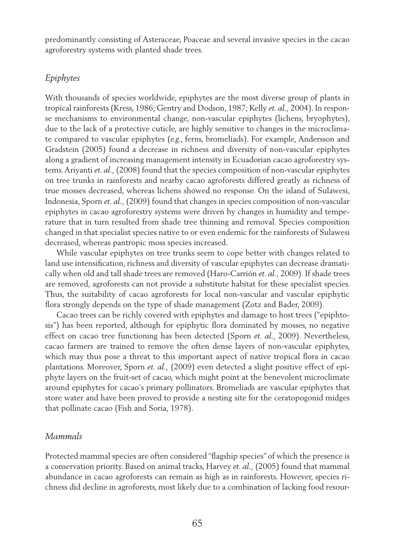predominantly consisting of Asteraceae, Poaceae and several invasive species in the cacao agroforestry systems with planted shade trees.

### *Epiphytes*

With thousands of species worldwide, epiphytes are the most diverse group of plants in tropical rainforests (Kress, 1986; Gentry and Dodson, 1987; Kelly *et. al.,* 2004). In response mechanisms to environmental change, non-vascular epiphytes (lichens, bryophytes), due to the lack of a protective cuticle, are highly sensitive to changes in the microclimate compared to vascular epiphytes (*e.g.*, ferns, bromeliads). For example, Andersson and Gradstein (2005) found a decrease in richness and diversity of non-vascular epiphytes along a gradient of increasing management intensity in Ecuadorian cacao agroforestry systems. Ariyanti *et. al.,* (2008) found that the species composition of non-vascular epiphytes on tree trunks in rainforests and nearby cacao agroforests differed greatly as richness of true mosses decreased, whereas lichens showed no response. On the island of Sulawesi, Indonesia, Sporn *et. al.,* (2009) found that changes in species composition of non-vascular epiphytes in cacao agroforestry systems were driven by changes in humidity and temperature that in turn resulted from shade tree thinning and removal. Species composition changed in that specialist species native to or even endemic for the rainforests of Sulawesi decreased, whereas pantropic moss species increased.

While vascular epiphytes on tree trunks seem to cope better with changes related to land use intensification, richness and diversity of vascular epiphytes can decrease dramatically when old and tall shade trees are removed (Haro-Carrión *et. al.,* 2009). If shade trees are removed, agroforests can not provide a substitute habitat for these specialist species. Thus, the suitability of cacao agroforests for local non-vascular and vascular epiphytic flora strongly depends on the type of shade management (Zotz and Bader, 2009).

Cacao trees can be richly covered with epiphytes and damage to host trees ("epiphtosis") has been reported, although for epiphytic flora dominated by mosses, no negative effect on cacao tree functioning has been detected (Sporn *et. al.,* 2009). Nevertheless, cacao farmers are trained to remove the often dense layers of non-vascular epiphytes, which may thus pose a threat to this important aspect of native tropical flora in cacao plantations. Moreover, Sporn *et. al.,* (2009) even detected a slight positive effect of epiphyte layers on the fruit-set of cacao, which might point at the benevolent microclimate around epiphytes for cacao's primary pollinators. Bromeliads are vascular epiphytes that store water and have been proved to provide a nesting site for the ceratopogonid midges that pollinate cacao (Fish and Soria, 1978).

# *Mammals*

Protected mammal species are often considered "flagship species" of which the presence is a conservation priority. Based on animal tracks, Harvey *et. al.,* (2005) found that mammal abundance in cacao agroforests can remain as high as in rainforests. However, species richness did decline in agroforests, most likely due to a combination of lacking food resour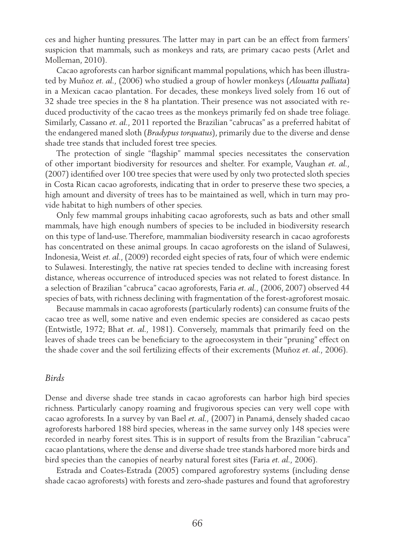ces and higher hunting pressures. The latter may in part can be an effect from farmers' suspicion that mammals, such as monkeys and rats, are primary cacao pests (Arlet and Molleman, 2010).

Cacao agroforests can harbor significant mammal populations, which has been illustrated by Muñoz *et. al.,* (2006) who studied a group of howler monkeys (*Alouatta palliata*) in a Mexican cacao plantation. For decades, these monkeys lived solely from 16 out of 32 shade tree species in the 8 ha plantation. Their presence was not associated with reduced productivity of the cacao trees as the monkeys primarily fed on shade tree foliage. Similarly, Cassano *et. al.,* 2011 reported the Brazilian "cabrucas" as a preferred habitat of the endangered maned sloth (*Bradypus torquatus*), primarily due to the diverse and dense shade tree stands that included forest tree species.

The protection of single "flagship" mammal species necessitates the conservation of other important biodiversity for resources and shelter. For example, Vaughan *et. al.,* (2007) identified over 100 tree species that were used by only two protected sloth species in Costa Rican cacao agroforests, indicating that in order to preserve these two species, a high amount and diversity of trees has to be maintained as well, which in turn may provide habitat to high numbers of other species.

Only few mammal groups inhabiting cacao agroforests, such as bats and other small mammals, have high enough numbers of species to be included in biodiversity research on this type of land-use. Therefore, mammalian biodiversity research in cacao agroforests has concentrated on these animal groups. In cacao agroforests on the island of Sulawesi, Indonesia, Weist *et. al.,* (2009) recorded eight species of rats, four of which were endemic to Sulawesi. Interestingly, the native rat species tended to decline with increasing forest distance, whereas occurrence of introduced species was not related to forest distance. In a selection of Brazilian "cabruca" cacao agroforests, Faria *et. al.,* (2006, 2007) observed 44 species of bats, with richness declining with fragmentation of the forest-agroforest mosaic.

Because mammals in cacao agroforests (particularly rodents) can consume fruits of the cacao tree as well, some native and even endemic species are considered as cacao pests (Entwistle, 1972; Bhat *et. al.,* 1981). Conversely, mammals that primarily feed on the leaves of shade trees can be beneficiary to the agroecosystem in their "pruning" effect on the shade cover and the soil fertilizing effects of their excrements (Muñoz *et. al.,* 2006).

#### *Birds*

Dense and diverse shade tree stands in cacao agroforests can harbor high bird species richness. Particularly canopy roaming and frugivorous species can very well cope with cacao agroforests. In a survey by van Bael *et. al.,* (2007) in Panamá, densely shaded cacao agroforests harbored 188 bird species, whereas in the same survey only 148 species were recorded in nearby forest sites. This is in support of results from the Brazilian "cabruca" cacao plantations, where the dense and diverse shade tree stands harbored more birds and bird species than the canopies of nearby natural forest sites (Faria *et. al.,* 2006).

Estrada and Coates-Estrada (2005) compared agroforestry systems (including dense shade cacao agroforests) with forests and zero-shade pastures and found that agroforestry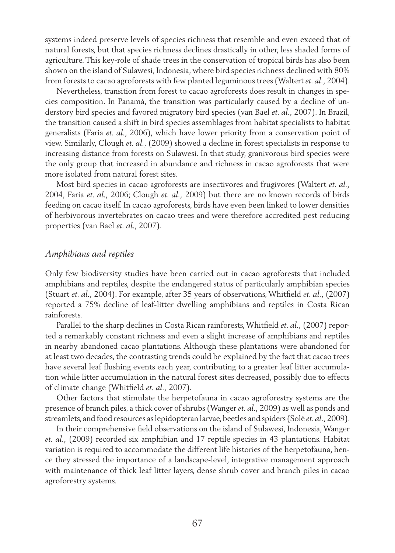systems indeed preserve levels of species richness that resemble and even exceed that of natural forests, but that species richness declines drastically in other, less shaded forms of agriculture. This key-role of shade trees in the conservation of tropical birds has also been shown on the island of Sulawesi, Indonesia, where bird species richness declined with 80% from forests to cacao agroforests with few planted leguminous trees (Waltert *et. al.,* 2004).

Nevertheless, transition from forest to cacao agroforests does result in changes in species composition. In Panamá, the transition was particularly caused by a decline of understory bird species and favored migratory bird species (van Bael *et. al.,* 2007). In Brazil, the transition caused a shift in bird species assemblages from habitat specialists to habitat generalists (Faria *et. al.,* 2006), which have lower priority from a conservation point of view. Similarly, Clough *et. al.,* (2009) showed a decline in forest specialists in response to increasing distance from forests on Sulawesi. In that study, granivorous bird species were the only group that increased in abundance and richness in cacao agroforests that were more isolated from natural forest sites.

Most bird species in cacao agroforests are insectivores and frugivores (Waltert *et. al.,* 2004, Faria *et. al.,* 2006; Clough *et. al.,* 2009) but there are no known records of birds feeding on cacao itself. In cacao agroforests, birds have even been linked to lower densities of herbivorous invertebrates on cacao trees and were therefore accredited pest reducing properties (van Bael *et. al.,* 2007).

#### *Amphibians and reptiles*

Only few biodiversity studies have been carried out in cacao agroforests that included amphibians and reptiles, despite the endangered status of particularly amphibian species (Stuart *et. al.,* 2004). For example, after 35 years of observations, Whitfield *et. al.,* (2007) reported a 75% decline of leaf-litter dwelling amphibians and reptiles in Costa Rican rainforests.

Parallel to the sharp declines in Costa Rican rainforests, Whitfield *et. al.,* (2007) reported a remarkably constant richness and even a slight increase of amphibians and reptiles in nearby abandoned cacao plantations. Although these plantations were abandoned for at least two decades, the contrasting trends could be explained by the fact that cacao trees have several leaf flushing events each year, contributing to a greater leaf litter accumulation while litter accumulation in the natural forest sites decreased, possibly due to effects of climate change (Whitfield *et. al.,* 2007).

Other factors that stimulate the herpetofauna in cacao agroforestry systems are the presence of branch piles, a thick cover of shrubs (Wanger *et. al.,* 2009) as well as ponds and streamlets, and food resources as lepidopteran larvae, beetles and spiders (Solé *et. al.,* 2009).

In their comprehensive field observations on the island of Sulawesi, Indonesia, Wanger *et. al.,* (2009) recorded six amphibian and 17 reptile species in 43 plantations. Habitat variation is required to accommodate the different life histories of the herpetofauna, hence they stressed the importance of a landscape-level, integrative management approach with maintenance of thick leaf litter layers, dense shrub cover and branch piles in cacao agroforestry systems.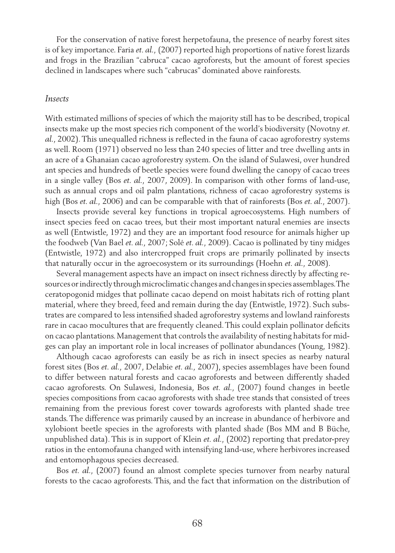For the conservation of native forest herpetofauna, the presence of nearby forest sites is of key importance. Faria *et. al.,* (2007) reported high proportions of native forest lizards and frogs in the Brazilian "cabruca" cacao agroforests, but the amount of forest species declined in landscapes where such "cabrucas" dominated above rainforests.

### *Insects*

With estimated millions of species of which the majority still has to be described, tropical insects make up the most species rich component of the world's biodiversity (Novotny *et. al.,* 2002). This unequalled richness is reflected in the fauna of cacao agroforestry systems as well. Room (1971) observed no less than 240 species of litter and tree dwelling ants in an acre of a Ghanaian cacao agroforestry system. On the island of Sulawesi, over hundred ant species and hundreds of beetle species were found dwelling the canopy of cacao trees in a single valley (Bos *et. al.,* 2007, 2009). In comparison with other forms of land-use, such as annual crops and oil palm plantations, richness of cacao agroforestry systems is high (Bos *et. al.,* 2006) and can be comparable with that of rainforests (Bos *et. al.,* 2007).

Insects provide several key functions in tropical agroecosystems. High numbers of insect species feed on cacao trees, but their most important natural enemies are insects as well (Entwistle, 1972) and they are an important food resource for animals higher up the foodweb (Van Bael *et. al.,* 2007; Solé *et. al.,* 2009). Cacao is pollinated by tiny midges (Entwistle, 1972) and also intercropped fruit crops are primarily pollinated by insects that naturally occur in the agroecosystem or its surroundings (Hoehn *et. al.,* 2008).

Several management aspects have an impact on insect richness directly by affecting resources or indirectly through microclimatic changes and changes in species assemblages. The ceratopogonid midges that pollinate cacao depend on moist habitats rich of rotting plant material, where they breed, feed and remain during the day (Entwistle, 1972). Such substrates are compared to less intensified shaded agroforestry systems and lowland rainforests rare in cacao mocultures that are frequently cleaned. This could explain pollinator deficits on cacao plantations. Management that controls the availability of nesting habitats for midges can play an important role in local increases of pollinator abundances (Young, 1982).

Although cacao agroforests can easily be as rich in insect species as nearby natural forest sites (Bos *et. al.,* 2007, Delabie *et. al.,* 2007), species assemblages have been found to differ between natural forests and cacao agroforests and between differently shaded cacao agroforests. On Sulawesi, Indonesia, Bos *et. al.,* (2007) found changes in beetle species compositions from cacao agroforests with shade tree stands that consisted of trees remaining from the previous forest cover towards agroforests with planted shade tree stands. The difference was primarily caused by an increase in abundance of herbivore and xylobiont beetle species in the agroforests with planted shade (Bos MM and B Büche, unpublished data). This is in support of Klein *et. al.,* (2002) reporting that predator-prey ratios in the entomofauna changed with intensifying land-use, where herbivores increased and entomophagous species decreased.

Bos *et. al.,* (2007) found an almost complete species turnover from nearby natural forests to the cacao agroforests. This, and the fact that information on the distribution of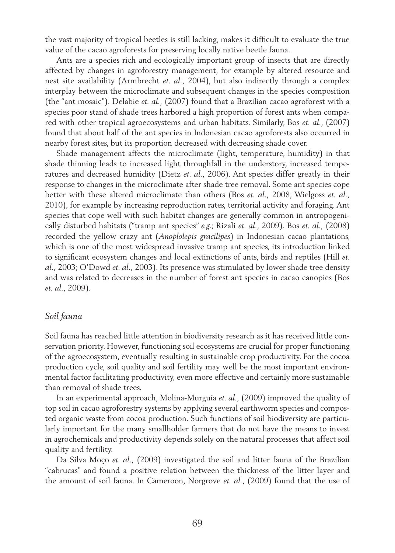the vast majority of tropical beetles is still lacking, makes it difficult to evaluate the true value of the cacao agroforests for preserving locally native beetle fauna.

Ants are a species rich and ecologically important group of insects that are directly affected by changes in agroforestry management, for example by altered resource and nest site availability (Armbrecht *et. al.,* 2004), but also indirectly through a complex interplay between the microclimate and subsequent changes in the species composition (the "ant mosaic"). Delabie *et. al.,* (2007) found that a Brazilian cacao agroforest with a species poor stand of shade trees harbored a high proportion of forest ants when compared with other tropical agroecosystems and urban habitats. Similarly, Bos *et. al.,* (2007) found that about half of the ant species in Indonesian cacao agroforests also occurred in nearby forest sites, but its proportion decreased with decreasing shade cover.

Shade management affects the microclimate (light, temperature, humidity) in that shade thinning leads to increased light throughfall in the understory, increased temperatures and decreased humidity (Dietz *et. al.,* 2006). Ant species differ greatly in their response to changes in the microclimate after shade tree removal. Some ant species cope better with these altered microclimate than others (Bos *et. al.,* 2008; Wielgoss *et. al.,* 2010), for example by increasing reproduction rates, territorial activity and foraging. Ant species that cope well with such habitat changes are generally common in antropogenically disturbed habitats ("tramp ant species" *e.g*.; Rizali *et. al.,* 2009). Bos *et. al.,* (2008) recorded the yellow crazy ant (*Anoplolepis gracilipes*) in Indonesian cacao plantations, which is one of the most widespread invasive tramp ant species, its introduction linked to significant ecosystem changes and local extinctions of ants, birds and reptiles (Hill *et. al.,* 2003; O'Dowd *et. al.,* 2003). Its presence was stimulated by lower shade tree density and was related to decreases in the number of forest ant species in cacao canopies (Bos *et. al.,* 2009).

### *Soil fauna*

Soil fauna has reached little attention in biodiversity research as it has received little conservation priority. However, functioning soil ecosystems are crucial for proper functioning of the agroecosystem, eventually resulting in sustainable crop productivity. For the cocoa production cycle, soil quality and soil fertility may well be the most important environmental factor facilitating productivity, even more effective and certainly more sustainable than removal of shade trees.

In an experimental approach, Molina-Murguía *et. al.,* (2009) improved the quality of top soil in cacao agroforestry systems by applying several earthworm species and composted organic waste from cocoa production. Such functions of soil biodiversity are particularly important for the many smallholder farmers that do not have the means to invest in agrochemicals and productivity depends solely on the natural processes that affect soil quality and fertility.

Da Silva Moço *et. al.,* (2009) investigated the soil and litter fauna of the Brazilian "cabrucas" and found a positive relation between the thickness of the litter layer and the amount of soil fauna. In Cameroon, Norgrove *et. al.,* (2009) found that the use of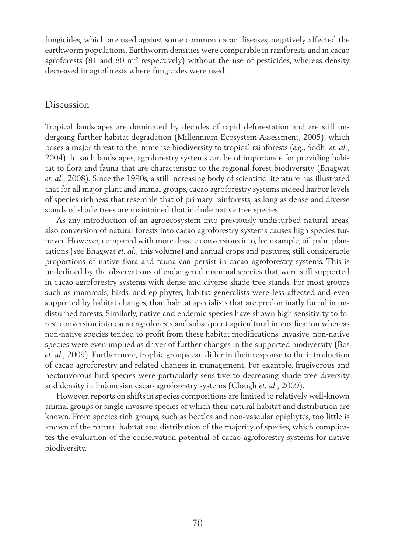fungicides, which are used against some common cacao diseases, negatively affected the earthworm populations. Earthworm densities were comparable in rainforests and in cacao agroforests  $(81 \text{ and } 80 \text{ m}^2 \text{ respectively})$  without the use of pesticides, whereas density decreased in agroforests where fungicides were used.

### Discussion

Tropical landscapes are dominated by decades of rapid deforestation and are still undergoing further habitat degradation (Millennium Ecosystem Assessment, 2005), which poses a major threat to the immense biodiversity to tropical rainforests (*e.g*., Sodhi *et. al.,* 2004). In such landscapes, agroforestry systems can be of importance for providing habitat to flora and fauna that are characteristic to the regional forest biodiversity (Bhagwat *et. al.,* 2008). Since the 1990s, a still increasing body of scientific literature has illustrated that for all major plant and animal groups, cacao agroforestry systems indeed harbor levels of species richness that resemble that of primary rainforests, as long as dense and diverse stands of shade trees are maintained that include native tree species.

As any introduction of an agroecosystem into previously undisturbed natural areas, also conversion of natural forests into cacao agroforestry systems causes high species turnover. However, compared with more drastic conversions into, for example, oil palm plantations (see Bhagwat *et. al.,* this volume) and annual crops and pastures, still considerable proportions of native flora and fauna can persist in cacao agroforestry systems. This is underlined by the observations of endangered mammal species that were still supported in cacao agroforestry systems with dense and diverse shade tree stands. For most groups such as mammals, birds, and epiphytes, habitat generalists were less affected and even supported by habitat changes, than habitat specialists that are predominatly found in undisturbed forests. Similarly, native and endemic species have shown high sensitivity to forest conversion into cacao agroforests and subsequent agricultural intensification whereas non-native species tended to profit from these habitat modifications. Invasive, non-native species were even implied as driver of further changes in the supported biodiversity (Bos *et. al.,* 2009). Furthermore, trophic groups can differ in their response to the introduction of cacao agroforestry and related changes in management. For example, frugivorous and nectarivorous bird species were particularly sensitive to decreasing shade tree diversity and density in Indonesian cacao agroforestry systems (Clough *et. al.,* 2009).

However, reports on shifts in species compositions are limited to relatively well-known animal groups or single invasive species of which their natural habitat and distribution are known. From species rich groups, such as beetles and non-vascular epiphytes, too little is known of the natural habitat and distribution of the majority of species, which complicates the evaluation of the conservation potential of cacao agroforestry systems for native biodiversity.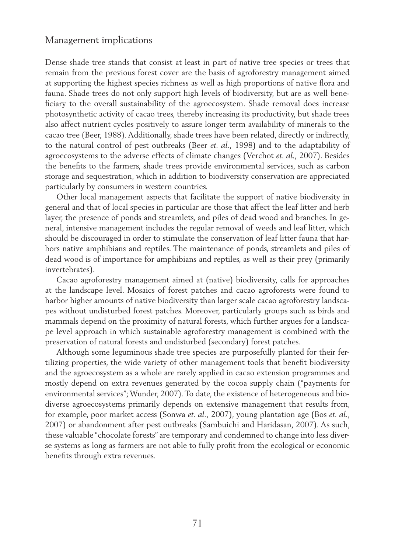### Management implications

Dense shade tree stands that consist at least in part of native tree species or trees that remain from the previous forest cover are the basis of agroforestry management aimed at supporting the highest species richness as well as high proportions of native flora and fauna. Shade trees do not only support high levels of biodiversity, but are as well beneficiary to the overall sustainability of the agroecosystem. Shade removal does increase photosynthetic activity of cacao trees, thereby increasing its productivity, but shade trees also affect nutrient cycles positively to assure longer term availability of minerals to the cacao tree (Beer, 1988). Additionally, shade trees have been related, directly or indirectly, to the natural control of pest outbreaks (Beer *et. al.,* 1998) and to the adaptability of agroecosystems to the adverse effects of climate changes (Verchot *et. al.,* 2007). Besides the benefits to the farmers, shade trees provide environmental services, such as carbon storage and sequestration, which in addition to biodiversity conservation are appreciated particularly by consumers in western countries.

Other local management aspects that facilitate the support of native biodiversity in general and that of local species in particular are those that affect the leaf litter and herb layer, the presence of ponds and streamlets, and piles of dead wood and branches. In general, intensive management includes the regular removal of weeds and leaf litter, which should be discouraged in order to stimulate the conservation of leaf litter fauna that harbors native amphibians and reptiles. The maintenance of ponds, streamlets and piles of dead wood is of importance for amphibians and reptiles, as well as their prey (primarily invertebrates).

Cacao agroforestry management aimed at (native) biodiversity, calls for approaches at the landscape level. Mosaics of forest patches and cacao agroforests were found to harbor higher amounts of native biodiversity than larger scale cacao agroforestry landscapes without undisturbed forest patches. Moreover, particularly groups such as birds and mammals depend on the proximity of natural forests, which further argues for a landscape level approach in which sustainable agroforestry management is combined with the preservation of natural forests and undisturbed (secondary) forest patches.

Although some leguminous shade tree species are purposefully planted for their fertilizing properties, the wide variety of other management tools that benefit biodiversity and the agroecosystem as a whole are rarely applied in cacao extension programmes and mostly depend on extra revenues generated by the cocoa supply chain ("payments for environmental services"; Wunder, 2007). To date, the existence of heterogeneous and biodiverse agroecosystems primarily depends on extensive management that results from, for example, poor market access (Sonwa *et. al.,* 2007), young plantation age (Bos *et. al.,*  2007) or abandonment after pest outbreaks (Sambuichi and Haridasan, 2007). As such, these valuable "chocolate forests" are temporary and condemned to change into less diverse systems as long as farmers are not able to fully profit from the ecological or economic benefits through extra revenues.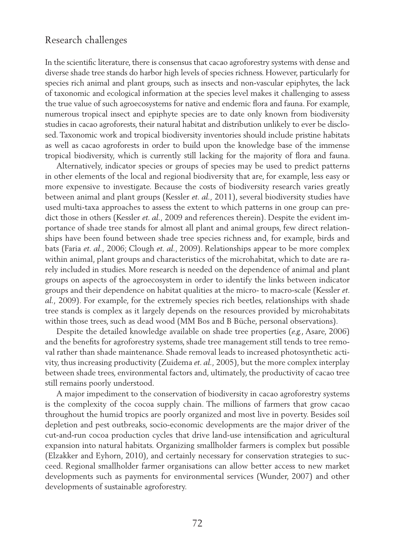# Research challenges

In the scientific literature, there is consensus that cacao agroforestry systems with dense and diverse shade tree stands do harbor high levels of species richness. However, particularly for species rich animal and plant groups, such as insects and non-vascular epiphytes, the lack of taxonomic and ecological information at the species level makes it challenging to assess the true value of such agroecosystems for native and endemic flora and fauna. For example, numerous tropical insect and epiphyte species are to date only known from biodiversity studies in cacao agroforests, their natural habitat and distribution unlikely to ever be disclosed. Taxonomic work and tropical biodiversity inventories should include pristine habitats as well as cacao agroforests in order to build upon the knowledge base of the immense tropical biodiversity, which is currently still lacking for the majority of flora and fauna.

Alternatively, indicator species or groups of species may be used to predict patterns in other elements of the local and regional biodiversity that are, for example, less easy or more expensive to investigate. Because the costs of biodiversity research varies greatly between animal and plant groups (Kessler *et. al.,* 2011), several biodiversity studies have used multi-taxa approaches to assess the extent to which patterns in one group can predict those in others (Kessler *et. al.,* 2009 and references therein). Despite the evident importance of shade tree stands for almost all plant and animal groups, few direct relationships have been found between shade tree species richness and, for example, birds and bats (Faria *et. al.,* 2006; Clough *et. al.,* 2009). Relationships appear to be more complex within animal, plant groups and characteristics of the microhabitat, which to date are rarely included in studies. More research is needed on the dependence of animal and plant groups on aspects of the agroecosystem in order to identify the links between indicator groups and their dependence on habitat qualities at the micro- to macro-scale (Kessler *et. al.,* 2009). For example, for the extremely species rich beetles, relationships with shade tree stands is complex as it largely depends on the resources provided by microhabitats within those trees, such as dead wood (MM Bos and B Büche, personal observations).

Despite the detailed knowledge available on shade tree properties (*e.g.*, Asare, 2006) and the benefits for agroforestry systems, shade tree management still tends to tree removal rather than shade maintenance. Shade removal leads to increased photosynthetic activity, thus increasing productivity (Zuidema *et. al.,* 2005), but the more complex interplay between shade trees, environmental factors and, ultimately, the productivity of cacao tree still remains poorly understood.

A major impediment to the conservation of biodiversity in cacao agroforestry systems is the complexity of the cocoa supply chain. The millions of farmers that grow cacao throughout the humid tropics are poorly organized and most live in poverty. Besides soil depletion and pest outbreaks, socio-economic developments are the major driver of the cut-and-run cocoa production cycles that drive land-use intensification and agricultural expansion into natural habitats. Organizing smallholder farmers is complex but possible (Elzakker and Eyhorn, 2010), and certainly necessary for conservation strategies to succeed. Regional smallholder farmer organisations can allow better access to new market developments such as payments for environmental services (Wunder, 2007) and other developments of sustainable agroforestry.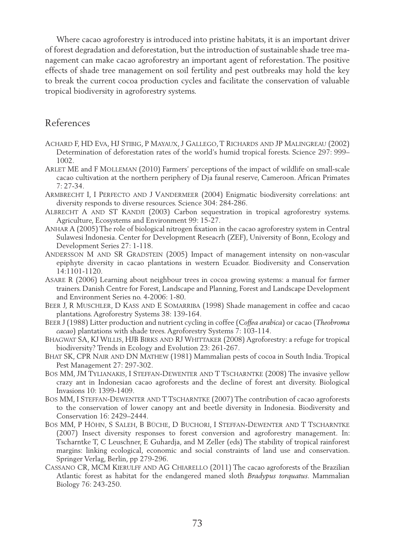Where cacao agroforestry is introduced into pristine habitats, it is an important driver of forest degradation and deforestation, but the introduction of sustainable shade tree management can make cacao agroforestry an important agent of reforestation. The positive effects of shade tree management on soil fertility and pest outbreaks may hold the key to break the current cocoa production cycles and facilitate the conservation of valuable tropical biodiversity in agroforestry systems.

## References

- Achard F, HD Eva, HJ Stibig, P Mayaux, J Gallego, T Richards and JP Malingreau (2002) Determination of deforestation rates of the world's humid tropical forests. Science 297: 999– 1002.
- Arlet ME and F Molleman (2010) Farmers' perceptions of the impact of wildlife on small-scale cacao cultivation at the northern periphery of Dja faunal reserve, Cameroon. African Primates 7: 27-34.
- Armbrecht I, I Perfecto and J Vandermeer (2004) Enigmatic biodiversity correlations: ant diversity responds to diverse resources. Science 304: 284-286.
- ALBRECHT A AND ST KANDJI (2003) Carbon sequestration in tropical agroforestry systems. Agriculture, Ecosystems and Environment 99: 15-27.
- Anhar A (2005) The role of biological nitrogen fixation in the cacao agroforestry system in Central Sulawesi Indonesia. Center for Development Reseacrh (ZEF), University of Bonn, Ecology and Development Series 27: 1-118.
- ANDERSSON M AND SR GRADSTEIN (2005) Impact of management intensity on non-vascular epiphyte diversity in cacao plantations in western Ecuador. Biodiversity and Conservation 14:1101-1120.
- Asare R (2006) Learning about neighbour trees in cocoa growing systems: a manual for farmer trainers. Danish Centre for Forest, Landscape and Planning, Forest and Landscape Development and Environment Series no. 4-2006: 1-80.
- BEER J, R MUSCHLER, D KASS AND E SOMARRIBA (1998) Shade management in coffee and cacao plantations. Agroforestry Systems 38: 139-164.
- Beer J (1988) Litter production and nutrient cycling in coffee (*Coffea arabica*) or cacao (*Theobroma cacao*) plantations with shade trees. Agroforestry Systems 7: 103-114.
- Bhagwat SA, KJ Willis, HJB Birks and RJ Whittaker (2008) Agroforestry: a refuge for tropical biodiversity? Trends in Ecology and Evolution 23: 261-267.
- Bhat SK, CPR Nair and DN Mathew (1981) Mammalian pests of cocoa in South India. Tropical Pest Management 27: 297-302.
- Bos MM, JM Tylianakis, I Steffan-Dewenter and T Tscharntke (2008) The invasive yellow crazy ant in Indonesian cacao agroforests and the decline of forest ant diversity. Biological Invasions 10: 1399-1409.
- BOS MM, I STEFFAN-DEWENTER AND T TSCHARNTKE (2007) The contribution of cacao agroforests to the conservation of lower canopy ant and beetle diversity in Indonesia. Biodiversity and Conservation 16: 2429–2444.
- Bos MM, P Höhn, S Saleh, B Büche, D Buchori, I Steffan-Dewenter and T Tscharntke (2007) Insect diversity responses to forest conversion and agroforestry management. In: Tscharntke T, C Leuschner, E Guhardja, and M Zeller (eds) The stability of tropical rainforest margins: linking ecological, economic and social constraints of land use and conservation. Springer Verlag, Berlín, pp 279-296.
- Cassano CR, MCM Kierulff and AG Chiarello (2011) The cacao agroforests of the Brazilian Atlantic forest as habitat for the endangered maned sloth *Bradypus torquatus*. Mammalian Biology 76: 243-250.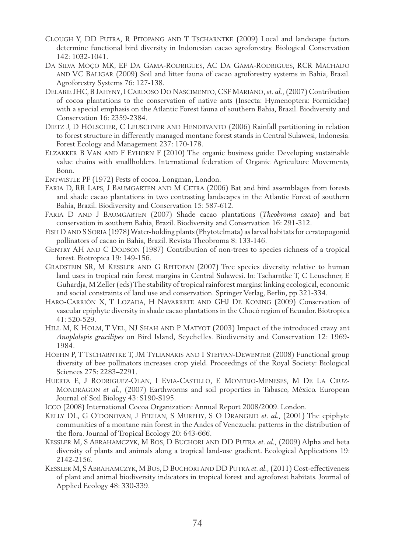- Clough Y, DD Putra, R Pitopang and T Tscharntke (2009) Local and landscape factors determine functional bird diversity in Indonesian cacao agroforestry. Biological Conservation 142: 1032-1041.
- Da Silva Moço MK, EF Da Gama-Rodrigues, AC Da Gama-Rodrigues, RCR Machado and VC Baligar (2009) Soil and litter fauna of cacao agroforestry systems in Bahia, Brazil. Agroforestry Systems 76: 127-138.
- Delabie JHC, B Jahyny, I Cardoso Do Nascimento, CSF Mariano, *et. al.,* (2007) Contribution of cocoa plantations to the conservation of native ants (Insecta: Hymenoptera: Formicidae) with a special emphasis on the Atlantic Forest fauna of southern Bahia, Brazil. Biodiversity and Conservation 16: 2359-2384.
- DIETZ J, D HÖLSCHER, C LEUSCHNER AND HENDRYANTO (2006) Rainfall partitioning in relation to forest structure in differently managed montane forest stands in Central Sulawesi, Indonesia. Forest Ecology and Management 237: 170-178.
- Elzakker B Van and F Eyhorn F (2010) The organic business guide: Developing sustainable value chains with smallholders. International federation of Organic Agriculture Movements, Bonn.
- ENTWISTLE PF (1972) Pests of cocoa. Longman, London.
- FARIA D, RR LAPS, J BAUMGARTEN AND M CETRA (2006) Bat and bird assemblages from forests and shade cacao plantations in two contrasting landscapes in the Atlantic Forest of southern Bahia, Brazil. Biodiversity and Conservation 15: 587-612.
- Faria D and J Baumgarten (2007) Shade cacao plantations (*Theobroma cacao*) and bat conservation in southern Bahia, Brazil. Biodiversity and Conservation 16: 291-312.
- Fish D and S Soria (1978) Water-holding plants (Phytotelmata) as larval habitats for ceratopogonid pollinators of cacao in Bahia, Brazil. Revista Theobroma 8: 133-146.
- GENTRY AH AND C DODSON (1987) Contribution of non-trees to species richness of a tropical forest. Biotropica 19: 149-156.
- Gradstein SR, M Kessler and G Rpitopan (2007) Tree species diversity relative to human land uses in tropical rain forest margins in Central Sulawesi. In: Tscharntke T, C Leuschner, E Guhardja, M Zeller (eds) The stability of tropical rainforest margins: linking ecological, economic and social constraints of land use and conservation. Springer Verlag, Berlin, pp 321-334.
- Haro-Carrión X, T Lozada, H Navarrete and GHJ De Koning (2009) Conservation of vascular epiphyte diversity in shade cacao plantations in the Chocó region of Ecuador. Biotropica 41: 520-529.
- HILL M, K HOLM, T VEL, NJ SHAH AND P MATYOT (2003) Impact of the introduced crazy ant *Anoplolepis gracilipes* on Bird Island, Seychelles. Biodiversity and Conservation 12: 1969- 1984.
- HOEHN P, T TSCHARNTKE T, JM TYLIANAKIS AND I STEFFAN-DEWENTER (2008) Functional group diversity of bee pollinators increases crop yield. Proceedings of the Royal Society: Biological Sciences 275: 2283–2291.
- Huerta E, J Rodriguez-Olan, I Evia-Castillo, E Montejo-Meneses, M De La Cruz-Mondragon *et al.,* (2007) Earthworms and soil properties in Tabasco, México. European Journal of Soil Biology 43: S190-S195.
- Icco (2008) International Cocoa Organization: Annual Report 2008/2009. London.
- Kelly DL, G O'donovan, J Feehan, S Murphy, S O Drangeid *et. al.,* (2001) The epiphyte communities of a montane rain forest in the Andes of Venezuela: patterns in the distribution of the flora. Journal of Tropical Ecology 20: 643-666.
- Kessler M, S Abrahamczyk, M Bos, D Buchori and DD Putra *et. al.,* (2009) Alpha and beta diversity of plants and animals along a tropical land-use gradient. Ecological Applications 19: 2142-2156.
- Kessler M, SAbrahamczyk, M Bos, D Buchori and DD Putra *et. al.,* (2011) Cost-effectiveness of plant and animal biodiversity indicators in tropical forest and agroforest habitats. Journal of Applied Ecology 48: 330-339.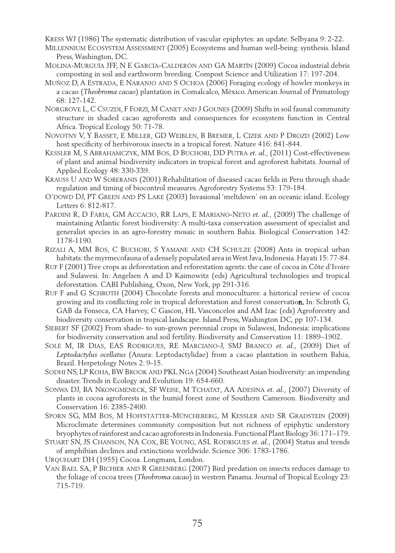Kress WJ (1986) The systematic distribution of vascular epiphytes: an update. Selbyana 9: 2-22.

Millennium Ecosystem Assessment (2005) Ecosystems and human well-being: synthesis. Island Press, Washington, DC.

- Molina-Murguía JFF, N E García-Calderón and GA Martín (2009) Cocoa industrial debris composting in soil and earthworm breeding. Compost Science and Utilization 17: 197-204.
- Muñoz D, A Estrada, E Naranjo and S Ochoa (2006) Foraging ecology of howler monkeys in a cacao (*Theobroma cacao*) plantation in Comalcalco, México. American Journal of Primatology 68: 127-142.
- NORGROVE L, C CSUZDI, F FORZI, M CANET AND J GOUNES (2009) Shifts in soil faunal community structure in shaded cacao agroforests and consequences for ecosystem function in Central Africa. Tropical Ecology 50: 71-78.
- Novotny V, Y Basset, E Miller, GD Weiblen, B Bremer, L Cizek and P Drozd (2002) Low host specificity of herbivorous insects in a tropical forest. Nature 416: 841-844.
- Kessler M, S Abrahamczyk, MM Bos, D Buchori, DD Putra *et. al.,* (2011) Cost-effectiveness of plant and animal biodiversity indicators in tropical forest and agroforest habitats. Journal of Applied Ecology 48: 330-339.
- KRAUSS U AND W SOBERANIS (2001) Rehabilitation of diseased cacao fields in Peru through shade regulation and timing of biocontrol measures. Agroforestry Systems 53: 179-184.
- O'dowd DJ, PT Green and PS Lake (2003) Invasional 'meltdown' on an oceanic island. Ecology Letters 6: 812-817.
- Pardini R, D Faria, GM Accacio, RR Laps, E Mariano-Neto *et. al.,* (2009) The challenge of maintaining Atlantic forest biodiversity: A multi-taxa conservation assessment of specialist and generalist species in an agro-forestry mosaic in southern Bahia. Biological Conservation 142: 1178-1190.
- Rizali A, MM Bos, C Buchori, S Yamane and CH Schulze (2008) Ants in tropical urban habitats: the myrmecofauna of a densely populated area in West Java, Indonesia. Hayati 15: 77-84.
- Ruf F (2001) Tree crops as deforestation and reforestation agents: the case of cocoa in Côte d'Ivoire and Sulawesi. In: Angelsen A and D Kaimowitz (eds) Agricultural technologies and tropical deforestation. CABI Publishing, Oxon, New York, pp 291-316.
- Ruf F and G Schroth (2004) Chocolate forests and monocultures: a historical review of cocoa growing and its conflicting role in tropical deforestation and forest conservation. In: Schroth G, GAB da Fonseca, CA Harvey, C Gascon, HL Vasconcelos and AM Izac (eds) Agroforestry and biodiversity conservation in tropical landscape. Island Press, Washington DC, pp 107-134.
- Siebert SF (2002) From shade- to sun-grown perennial crops in Sulawesi, Indonesia: implications for biodiversity conservation and soil fertility. Biodiversity and Conservation 11: 1889–1902.
- Solé M, IR Dias, EAS Rodrigues, RE Marciano-J, SMJ Branco *et. al.,* (2009) Diet of *Leptodactylus ocellatus* (Anura: Leptodactylidae) from a cacao plantation in southern Bahia, Brazil. Herpetology Notes 2: 9-15.
- Sodhi NS, LP Koha, BW Brook and PKL Nga (2004) Southeast Asian biodiversity: an impending disaster. Trends in Ecology and Evolution 19: 654-660.
- Sonwa DJ, BA Nkongmeneck, SF Weise, M Tchatat, AA Adesina *et. al.,* (2007) Diversity of plants in cocoa agroforests in the humid forest zone of Southern Cameroon. Biodiversity and Conservation 16: 2385-2400.
- Sporn SG, MM Bos, M Hoffstätter-Müncheberg, M Kessler and SR Gradstein (2009) Microclimate determines community composition but not richness of epiphytic understory bryophytes of rainforest and cacao agroforests in Indonesia. Functional Plant Biology 36: 171–179.
- Stuart SN, JS Chanson, NA Cox, BE Young, ASL Rodrigues *et. al.,* (2004) Status and trends of amphibian declines and extinctions worldwide. Science 306: 1783-1786.
- Urquhart DH (1955) Cocoa. Longmans, London.
- Van Bael SA, P Bichier and R Greenberg (2007) Bird predation on insects reduces damage to the foliage of cocoa trees (*Theobroma cacao*) in western Panama. Journal of Tropical Ecology 23: 715-719.